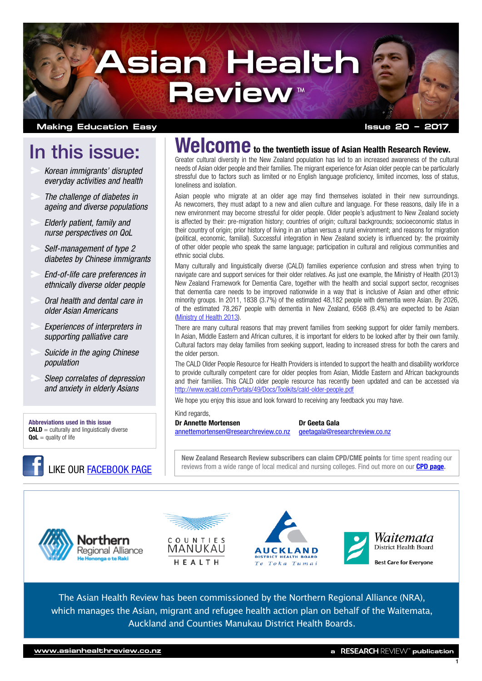

# In this issue:

- *[Korean immigrants' disrupted](#page-1-0)  [everyday activities and health](#page-1-0)*
- *[The challenge of diabetes in](#page-1-0)  [ageing and diverse populations](#page-1-0)*
- *[Elderly patient, family and](#page-1-0)  [nurse perspectives on QoL](#page-1-0)*
- *[Self-management of type 2](#page-2-0)  [diabetes by Chinese immigrants](#page-2-0)*
- *[End-of-life care preferences in](#page-2-0)  [ethnically diverse older people](#page-2-0)*
- *[Oral health and dental care in](#page-2-0)  [older Asian Americans](#page-2-0)*
- *[Experiences of interpreters in](#page-3-0)  [supporting palliative care](#page-3-0)*
- *[Suicide in the aging Chinese](#page-3-0)  [population](#page-3-0)*
- *[Sleep correlates of depression](#page-3-0)  [and anxiety in elderly Asians](#page-3-0)*

Abbreviations used in this issue  $CALD =$  culturally and linguistically diverse  $\textbf{QoL} =$  quality of life



# Welcome to the twentieth issue of Asian Health Research Review.

Greater cultural diversity in the New Zealand population has led to an increased awareness of the cultural needs of Asian older people and their families. The migrant experience for Asian older people can be particularly stressful due to factors such as limited or no English language proficiency, limited incomes, loss of status, loneliness and isolation.

Asian people who migrate at an older age may find themselves isolated in their new surroundings. As newcomers, they must adapt to a new and alien culture and language. For these reasons, daily life in a new environment may become stressful for older people. Older people's adjustment to New Zealand society is affected by their: pre-migration history; countries of origin; cultural backgrounds; socioeconomic status in their country of origin; prior history of living in an urban versus a rural environment; and reasons for migration (political, economic, familial). Successful integration in New Zealand society is influenced by: the proximity of other older people who speak the same language; participation in cultural and religious communities and ethnic social clubs.

Many culturally and linguistically diverse (CALD) families experience confusion and stress when trying to navigate care and support services for their older relatives. As just one example, the Ministry of Health (2013) New Zealand Framework for Dementia Care, together with the health and social support sector, recognises that dementia care needs to be improved nationwide in a way that is inclusive of Asian and other ethnic minority groups. In 2011, 1838 (3.7%) of the estimated 48,182 people with dementia were Asian. By 2026, of the estimated 78,267 people with dementia in New Zealand, 6568 (8.4%) are expected to be Asian [\(Ministry of Health 2013\)](http://www.health.govt.nz/system/files/documents/publications/new-zealand-framework-for-dementia-care-nov13.pdf).

There are many cultural reasons that may prevent families from seeking support for older family members. In Asian, Middle Eastern and African cultures, it is important for elders to be looked after by their own family. Cultural factors may delay families from seeking support, leading to increased stress for both the carers and the older person.

The CALD Older People Resource for Health Providers is intended to support the health and disability workforce to provide culturally competent care for older peoples from Asian, Middle Eastern and African backgrounds and their families. This CALD older people resource has recently been updated and can be accessed via <http://www.ecald.com/Portals/49/Docs/Toolkits/cald-older-people.pdf>

We hope you enjoy this issue and look forward to receiving any feedback you may have.

Kind regards,

Dr Annette Mortensen Dr Geeta Gala

## [annettemortensen@researchreview.co.nz](mailto:annettemortensen@researchreview.co.nz) [geetagala@researchreview.co.nz](mailto:geetagala@researchreview.co.nz)

New Zealand Research Review subscribers can claim CPD/CME points for time spent reading our LIKE OUR FACEBOOK PAGE | | reviews from a wide range of local medical and nursing colleges. Find out more on our [CPD page.](http://www.researchreview.co.nz/cpd?site=nz)









The Asian Health Review has been commissioned by the Northern Regional Alliance (NRA), which manages the Asian, migrant and refugee health action plan on behalf of the Waitemata, Auckland and Counties Manukau District Health Boards.

1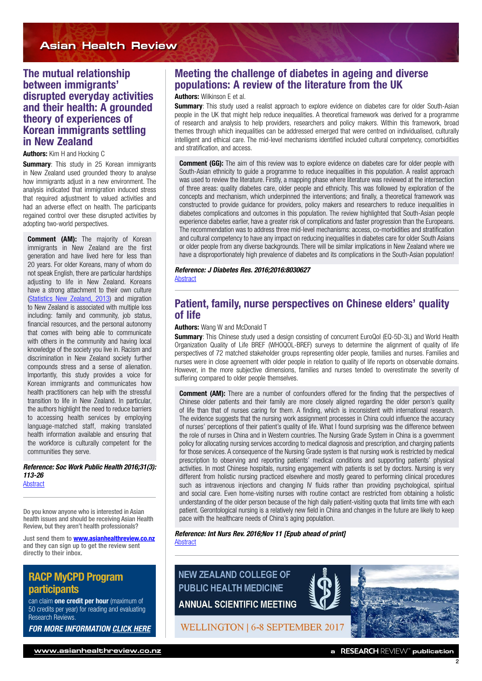## <span id="page-1-0"></span>**Asian Health Review**

## The mutual relationship between immigrants' disrupted everyday activities and their health: A grounded theory of experiences of Korean immigrants settling in New Zealand

## Authors: Kim H and Hocking C

**Summary:** This study in 25 Korean immigrants in New Zealand used grounded theory to analyse how immigrants adjust in a new environment. The analysis indicated that immigration induced stress that required adjustment to valued activities and had an adverse effect on health. The participants regained control over these disrupted activities by adopting two-world perspectives.

**Comment (AM):** The majority of Korean immigrants in New Zealand are the first generation and have lived here for less than 20 years. For older Koreans, many of whom do not speak English, there are particular hardships adjusting to life in New Zealand. Koreans have a strong attachment to their own culture [\(Statistics New Zealand, 2013](http://www.stats.govt.nz/Census/2013-census/profile-and-summary-reports/quickstats-culture-identity/asian.aspx)) and migration to New Zealand is associated with multiple loss including: family and community, job status, financial resources, and the personal autonomy that comes with being able to communicate with others in the community and having local knowledge of the society you live in. Racism and discrimination in New Zealand society further compounds stress and a sense of alienation. Importantly, this study provides a voice for Korean immigrants and communicates how health practitioners can help with the stressful transition to life in New Zealand. In particular, the authors highlight the need to reduce barriers to accessing health services by employing language-matched staff, making translated health information available and ensuring that the workforce is culturally competent for the communities they serve.

#### *Reference: Soc Work Public Health 2016;31(3): 113-26* [Abstract](http://www.tandfonline.com/doi/abs/10.1080/19371918.2015.1087916)

Do you know anyone who is interested in Asian health issues and should be receiving Asian Health Review, but they aren't health professionals?

Just send them to **[www.asianhealthreview.co.nz](http://www.asianhealthreview.co.nz)** and they can sign up to get the review sent directly to their inbox.

## RACP MyCPD Program **participants**

can claim one credit per hour (maximum of 50 credits per year) for reading and evaluating Research Reviews.

*FOR MORE INFORMATION [CLICK HERE](https://www.racp.edu.au/fellows/continuing-professional-development)*

## Meeting the challenge of diabetes in ageing and diverse populations: A review of the literature from the UK

#### Authors: Wilkinson E et al.

**Summary:** This study used a realist approach to explore evidence on diabetes care for older South-Asian people in the UK that might help reduce inequalities. A theoretical framework was derived for a programme of research and analysis to help providers, researchers and policy makers. Within this framework, broad themes through which inequalities can be addressed emerged that were centred on individualised, culturally intelligent and ethical care. The mid-level mechanisms identified included cultural competency, comorbidities and stratification, and access.

**Comment (GG):** The aim of this review was to explore evidence on diabetes care for older people with South-Asian ethnicity to guide a programme to reduce inequalities in this population. A realist approach was used to review the literature. Firstly, a mapping phase where literature was reviewed at the intersection of three areas: quality diabetes care, older people and ethnicity. This was followed by exploration of the concepts and mechanism, which underpinned the interventions; and finally, a theoretical framework was constructed to provide guidance for providers, policy makers and researchers to reduce inequalities in diabetes complications and outcomes in this population. The review highlighted that South-Asian people experience diabetes earlier, have a greater risk of complications and faster progression than the Europeans. The recommendation was to address three mid-level mechanisms: access, co-morbidities and stratification and cultural competency to have any impact on reducing inequalities in diabetes care for older South Asians or older people from any diverse backgrounds. There will be similar implications in New Zealand where we have a disproportionately high prevalence of diabetes and its complications in the South-Asian population!

#### *Reference: J Diabetes Res. 2016;2016:8030627* **[Abstract](https://www.ncbi.nlm.nih.gov/pmc/articles/pmid/27830158/)**

## Patient, family, nurse perspectives on Chinese elders' quality of life

#### Authors: Wang W and McDonald T

Summary: This Chinese study used a design consisting of concurrent EuroQol (EQ-5D-3L) and World Health Organization Quality of Life BREF (WHOQOL-BREF) surveys to determine the alignment of quality of life perspectives of 72 matched stakeholder groups representing older people, families and nurses. Families and nurses were in close agreement with older people in relation to quality of life reports on observable domains. However, in the more subjective dimensions, families and nurses tended to overestimate the severity of suffering compared to older people themselves.

**Comment (AM):** There are a number of confounders offered for the finding that the perspectives of Chinese older patients and their family are more closely aligned regarding the older person's quality of life than that of nurses caring for them. A finding, which is inconsistent with international research. The evidence suggests that the nursing work assignment processes in China could influence the accuracy of nurses' perceptions of their patient's quality of life. What I found surprising was the difference between the role of nurses in China and in Western countries. The Nursing Grade System in China is a government policy for allocating nursing services according to medical diagnosis and prescription, and charging patients for those services. A consequence of the Nursing Grade system is that nursing work is restricted by medical prescription to observing and reporting patients' medical conditions and supporting patients' physical activities. In most Chinese hospitals, nursing engagement with patients is set by doctors. Nursing is very different from holistic nursing practiced elsewhere and mostly geared to performing clinical procedures such as intravenous injections and changing IV fluids rather than providing psychological, spiritual and social care. Even home-visiting nurses with routine contact are restricted from obtaining a holistic understanding of the older person because of the high daily patient-visiting quota that limits time with each patient. Gerontological nursing is a relatively new field in China and changes in the future are likely to keep pace with the healthcare needs of China's aging population.

#### *Reference: Int Nurs Rev. 2016;Nov 11 [Epub ahead of print]* [Abstract](http://onlinelibrary.wiley.com/doi/10.1111/inr.12333/abstract;jsessionid=64C057C8C016BC2CE3FD22432832B807.f04t01?systemMessage=Wiley+Online+Library+%27Journal+Subscribe+%2F+Renew%27+page+will+be+down+on+Wednesday+05th+July+starting+at+08.00+EDT+%2F+13.00+BST+%2F+17.30+IST+for+up+to+75+minutes+due+to+essential+maintenance.)

**NEW ZEALAND COLLEGE OF PUBLIC HEALTH MEDICINE ANNUAL SCIENTIFIC MEETING WELLINGTON | 6-8 SEPTEMBER 2017** 

**[www.asianhealthreview.co.nz](http://www.asianhealthreview.co.nz)**

2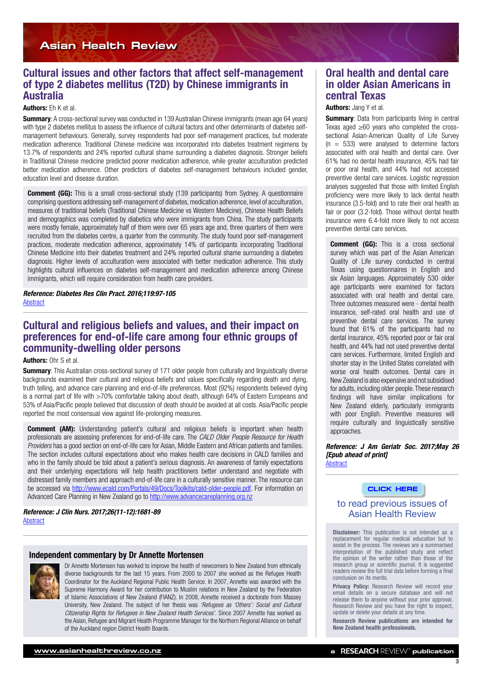## <span id="page-2-0"></span>Cultural issues and other factors that affect self-management of type 2 diabetes mellitus (T2D) by Chinese immigrants in Australia

## Authors: Eh K et al.

**Summary:** A cross-sectional survey was conducted in 139 Australian Chinese immigrants (mean age 64 years) with type 2 diabetes mellitus to assess the influence of cultural factors and other determinants of diabetes selfmanagement behaviours. Generally, survey respondents had poor self-management practices, but moderate medication adherence. Traditional Chinese medicine was incorporated into diabetes treatment regimens by 13.7% of respondents and 24% reported cultural shame surrounding a diabetes diagnosis. Stronger beliefs in Traditional Chinese medicine predicted poorer medication adherence, while greater acculturation predicted better medication adherence. Other predictors of diabetes self-management behaviours included gender, education level and disease duration.

**Comment (GG):** This is a small cross-sectional study (139 participants) from Sydney. A questionnaire comprising questions addressing self-management of diabetes, medication adherence, level of acculturation, measures of traditional beliefs (Traditional Chinese Medicine vs Western Medicine), Chinese Health Beliefs and demographics was completed by diabetics who were immigrants from China. The study participants were mostly female, approximately half of them were over 65 years age and, three quarters of them were recruited from the diabetes centre, a quarter from the community. The study found poor self-management practices, moderate medication adherence, approximately 14% of participants incorporating Traditional Chinese Medicine into their diabetes treatment and 24% reported cultural shame surrounding a diabetes diagnosis. Higher levels of acculturation were associated with better medication adherence. This study highlights cultural influences on diabetes self-management and medication adherence among Chinese immigrants, which will require consideration from health care providers.

#### *Reference: Diabetes Res Clin Pract. 2016;119:97-105* [Abstract](http://www.diabetesresearchclinicalpractice.com/article/S0168-8227(16)30252-2/abstract)

## Cultural and religious beliefs and values, and their impact on preferences for end-of-life care among four ethnic groups of community-dwelling older persons

### Authors: Ohr S et al.

**Summary:** This Australian cross-sectional survey of 171 older people from culturally and linguistically diverse backgrounds examined their cultural and religious beliefs and values specifically regarding death and dying, truth telling, and advance care planning and end-of-life preferences. Most (92%) respondents believed dying is a normal part of life with >70% comfortable talking about death, although 64% of Eastern Europeans and 53% of Asia/Pacific people believed that discussion of death should be avoided at all costs. Asia/Pacific people reported the most consensual view against life-prolonging measures.

**Comment (AM):** Understanding patient's cultural and religious beliefs is important when health professionals are assessing preferences for end-of-life care. The *CALD Older People Resource for Health Providers* has a good section on end-of-life care for Asian, Middle Eastern and African patients and families. The section includes cultural expectations about who makes health care decisions in CALD families and who in the family should be told about a patient's serious diagnosis. An awareness of family expectations and their underlying expectations will help health practitioners better understand and negotiate with distressed family members and approach end-of-life care in a culturally sensitive manner. The resource can be accessed via [http://www.ecald.com/Portals/49/Docs/Toolkits/cald-older-people.pdf.](http://www.ecald.com/Portals/49/Docs/Toolkits/cald-older-people.pdf) For information on Advanced Care Planning in New Zealand go to<http://www.advancecareplanning.org.nz>

*Reference: J Clin Nurs. 2017;26(11-12):1681-89* **[Abstract](http://onlinelibrary.wiley.com/doi/10.1111/jocn.13572/abstract)** 

## Independent commentary by Dr Annette Mortensen



Dr Annette Mortensen has worked to improve the health of newcomers to New Zealand from ethnically diverse backgrounds for the last 15 years. From 2000 to 2007 she worked as the Refugee Health Coordinator for the Auckland Regional Public Health Service. In 2007, Annette was awarded with the Supreme Harmony Award for her contribution to Muslim relations in New Zealand by the Federation of Islamic Associations of New Zealand (FIANZ). In 2008, Annette received a doctorate from Massey University, New Zealand. The subject of her thesis was *'Refugees as 'Others': Social and Cultural Citizenship Rights for Refugees in New Zealand Health Services'.* Since 2007 Annette has worked as the Asian, Refugee and Migrant Health Programme Manager for the Northern Regional Alliance on behalf of the Auckland region District Health Boards.

## Oral health and dental care in older Asian Americans in central Texas

## Authors: Jang Y et al.

**Summary:** Data from participants living in central Texas aged ≥60 years who completed the crosssectional Asian-American Quality of Life Survey  $(n = 533)$  were analysed to determine factors associated with oral health and dental care. Over 61% had no dental health insurance, 45% had fair or poor oral health, and 44% had not accessed preventive dental care services. Logistic regression analyses suggested that those with limited English proficiency were more likely to lack dental health insurance (3.5-fold) and to rate their oral health as fair or poor (3.2-fold). Those without dental health insurance were 6.4-fold more likely to not access preventive dental care services.

**Comment (GG):** This is a cross sectional survey which was part of the Asian American Quality of Life survey conducted in central Texas using questionnaires in English and six Asian languages. Approximately 530 older age participants were examined for factors associated with oral health and dental care. Three outcomes measured were - dental health insurance, self-rated oral health and use of preventive dental care services. The survey found that 61% of the participants had no dental insurance, 45% reported poor or fair oral health, and 44% had not used preventive dental care services. Furthermore, limited English and shorter stay in the United States correlated with worse oral health outcomes. Dental care in New Zealand is also expensive and not subsidised for adults, including older people. These research findings will have similar implications for New Zealand elderly, particularly immigrants with poor English. Preventive measures will require culturally and linguistically sensitive approaches.

*Reference: J Am Geriatr Soc. 2017;May 26 [Epub ahead of print]* **[Abstract](http://doi.wiley.com/10.1111/jgs.14832)** 

#### **[CLICK HERE](http://www.asianhealthreview.co.nz/ah/Pages/Recent-Reviews.aspx)**

## to read previous issues of Asian Health Review

Disclaimer: This publication is not intended as a replacement for regular medical education but to assist in the process. The reviews are a summarised interpretation of the published study and reflect the opinion of the writer rather than those of the research group or scientific journal. It is suggested readers review the full trial data before forming a final conclusion on its merits.

Privacy Policy: Research Review will record your email details on a secure database and will not release them to anyone without your prior approval. Research Review and you have the right to inspect, update or delete your details at any time.

Research Review publications are intended for New Zealand health professionals.

3